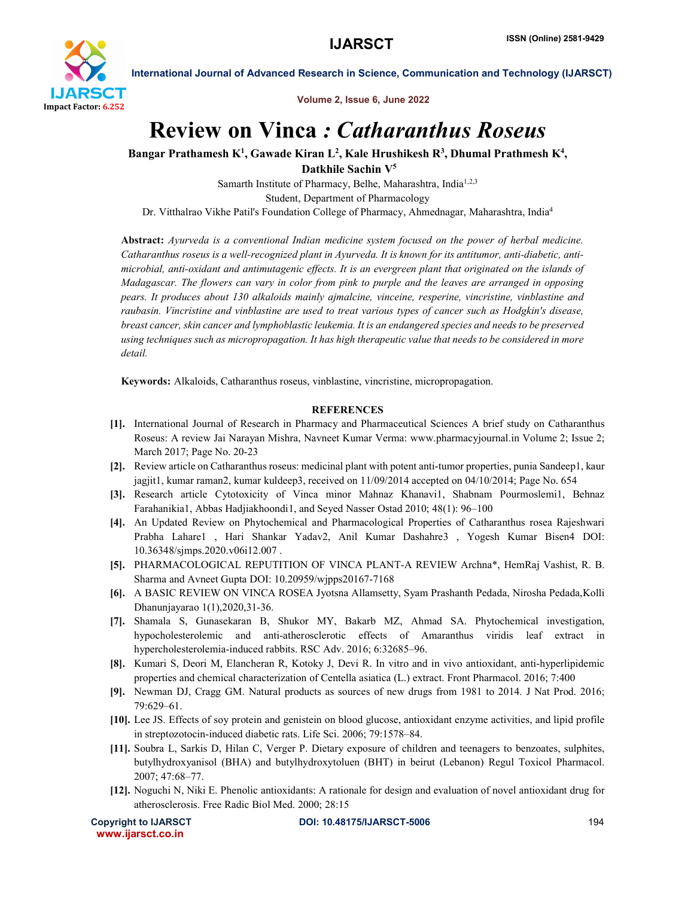

International Journal of Advanced Research in Science, Communication and Technology (IJARSCT)

Volume 2, Issue 6, June 2022

## Review on Vinca *: Catharanthus Roseus*

Bangar Prathamesh K<sup>1</sup>, Gawade Kiran L<sup>2</sup>, Kale Hrushikesh R<sup>3</sup>, Dhumal Prathmesh K<sup>4</sup>,

Datkhile Sachin V5

Samarth Institute of Pharmacy, Belhe, Maharashtra, India<sup>1,2,3</sup> Student, Department of Pharmacology Dr. Vitthalrao Vikhe Patil's Foundation College of Pharmacy, Ahmednagar, Maharashtra, India4

Abstract: *Ayurveda is a conventional Indian medicine system focused on the power of herbal medicine. Catharanthus roseus is a well-recognized plant in Ayurveda. It is known for its antitumor, anti-diabetic, antimicrobial, anti-oxidant and antimutagenic effects. It is an evergreen plant that originated on the islands of Madagascar. The flowers can vary in color from pink to purple and the leaves are arranged in opposing pears. It produces about 130 alkaloids mainly ajmalcine, vinceine, resperine, vincristine, vinblastine and raubasin. Vincristine and vinblastine are used to treat various types of cancer such as Hodgkin's disease, breast cancer, skin cancer and lymphoblastic leukemia. It is an endangered species and needs to be preserved using techniques such as micropropagation. It has high therapeutic value that needs to be considered in more detail.*

Keywords: Alkaloids, Catharanthus roseus, vinblastine, vincristine, micropropagation.

## **REFERENCES**

- [1]. International Journal of Research in Pharmacy and Pharmaceutical Sciences A brief study on Catharanthus Roseus: A review Jai Narayan Mishra, Navneet Kumar Verma: www.pharmacyjournal.in Volume 2; Issue 2; March 2017; Page No. 20-23
- [2]. Review article on Catharanthus roseus: medicinal plant with potent anti-tumor properties, punia Sandeep1, kaur jagjit1, kumar raman2, kumar kuldeep3, received on 11/09/2014 accepted on 04/10/2014; Page No. 654
- [3]. Research article Cytotoxicity of Vinca minor Mahnaz Khanavi1, Shabnam Pourmoslemi1, Behnaz Farahanikia1, Abbas Hadjiakhoondi1, and Seyed Nasser Ostad 2010; 48(1): 96–100
- [4]. An Updated Review on Phytochemical and Pharmacological Properties of Catharanthus rosea Rajeshwari Prabha Lahare1 , Hari Shankar Yadav2, Anil Kumar Dashahre3 , Yogesh Kumar Bisen4 DOI: 10.36348/sjmps.2020.v06i12.007 .
- [5]. PHARMACOLOGICAL REPUTITION OF VINCA PLANT-A REVIEW Archna\*, HemRaj Vashist, R. B. Sharma and Avneet Gupta DOI: 10.20959/wjpps20167-7168
- [6]. A BASIC REVIEW ON VINCA ROSEA Jyotsna Allamsetty, Syam Prashanth Pedada, Nirosha Pedada,Kolli Dhanunjayarao 1(1),2020,31-36.
- [7]. Shamala S, Gunasekaran B, Shukor MY, Bakarb MZ, Ahmad SA. Phytochemical investigation, hypocholesterolemic and anti-atherosclerotic effects of Amaranthus viridis leaf extract in hypercholesterolemia-induced rabbits. RSC Adv. 2016; 6:32685–96.
- [8]. Kumari S, Deori M, Elancheran R, Kotoky J, Devi R. In vitro and in vivo antioxidant, anti-hyperlipidemic properties and chemical characterization of Centella asiatica (L.) extract. Front Pharmacol. 2016; 7:400
- [9]. Newman DJ, Cragg GM. Natural products as sources of new drugs from 1981 to 2014. J Nat Prod. 2016; 79:629–61.
- [10]. Lee JS. Effects of soy protein and genistein on blood glucose, antioxidant enzyme activities, and lipid profile in streptozotocin-induced diabetic rats. Life Sci. 2006; 79:1578–84.
- [11]. Soubra L, Sarkis D, Hilan C, Verger P. Dietary exposure of children and teenagers to benzoates, sulphites, butylhydroxyanisol (BHA) and butylhydroxytoluen (BHT) in beirut (Lebanon) Regul Toxicol Pharmacol. 2007; 47:68–77.
- [12]. Noguchi N, Niki E. Phenolic antioxidants: A rationale for design and evaluation of novel antioxidant drug for atherosclerosis. Free Radic Biol Med. 2000; 28:15

www.ijarsct.co.in